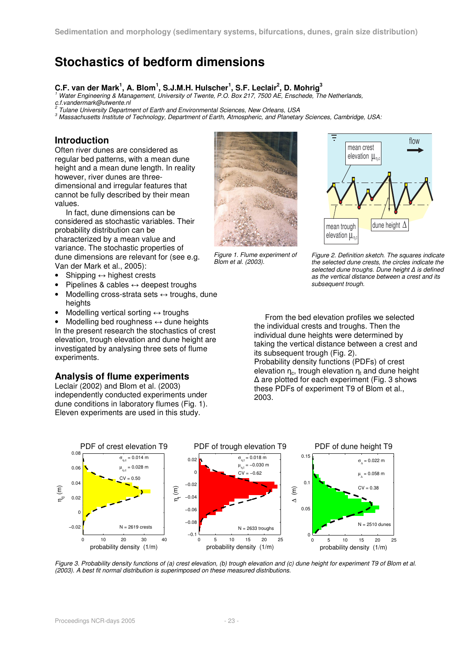# **Stochastics of bedform dimensions**

# **C.F. van der Mark<sup>1</sup> , A. Blom<sup>1</sup> , S.J.M.H. Hulscher<sup>1</sup> , S.F. Leclair<sup>2</sup> , D. Mohrig<sup>3</sup>** 1

 Water Engineering & Management, University of Twente, P.O. Box 217, 7500 AE, Enschede, The Netherlands, c.f.vandermark@utwente.nl<br><sup>2</sup> Tulope University Depertm

Tulane University Department of Earth and Environmental Sciences, New Orleans, USA

3 Massachusetts Institute of Technology, Department of Earth, Atmospheric, and Planetary Sciences, Cambridge, USA:

### **Introduction**

Often river dunes are considered as regular bed patterns, with a mean dune height and a mean dune length. In reality however, river dunes are threedimensional and irregular features that cannot be fully described by their mean values.

In fact, dune dimensions can be considered as stochastic variables. Their probability distribution can be characterized by a mean value and variance. The stochastic properties of dune dimensions are relevant for (see e.g. Van der Mark et al., 2005):

- Shipping  $\leftrightarrow$  highest crests
- Pipelines & cables  $\leftrightarrow$  deepest troughs
- Modelling cross-strata sets ↔ troughs, dune heights
- Modelling vertical sorting  $\leftrightarrow$  troughs

Modelling bed roughness  $\leftrightarrow$  dune heights In the present research the stochastics of crest elevation, trough elevation and dune height are investigated by analysing three sets of flume experiments.

#### **Analysis of flume experiments**

Leclair (2002) and Blom et al. (2003) independently conducted experiments under dune conditions in laboratory flumes (Fig. 1). Eleven experiments are used in this study.







Figure 2. Definition sketch. The squares indicate the selected dune crests, the circles indicate the selected dune troughs. Dune height  $\Delta$  is defined as the vertical distance between a crest and its subsequent trough.

From the bed elevation profiles we selected the individual crests and troughs. Then the individual dune heights were determined by taking the vertical distance between a crest and its subsequent trough (Fig. 2). Probability density functions (PDFs) of crest elevation  $\eta_c$ , trough elevation  $\eta_t$  and dune height ∆ are plotted for each experiment (Fig. 3 shows these PDFs of experiment T9 of Blom et al., 2003.



Figure 3. Probability density functions of (a) crest elevation, (b) trough elevation and (c) dune height for experiment T9 of Blom et al. (2003). A best fit normal distribution is superimposed on these measured distributions.